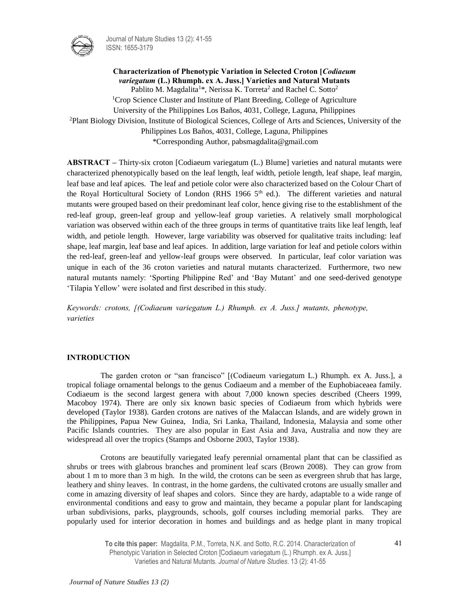

Journal of Nature Studies 13 (2): 41-55 ISSN: 1655-3179

**Characterization of Phenotypic Variation in Selected Croton [***Codiaeum variegatum* **(L.) Rhumph. ex A. Juss.] Varieties and Natural Mutants**  Pablito M. Magdalita<sup>1\*</sup>, Nerissa K. Torreta<sup>2</sup> and Rachel C. Sotto<sup>2</sup> <sup>1</sup>Crop Science Cluster and Institute of Plant Breeding, College of Agriculture University of the Philippines Los Baños, 4031, College, Laguna, Philippines <sup>2</sup>Plant Biology Division, Institute of Biological Sciences, College of Arts and Sciences, University of the Philippines Los Baños, 4031, College, Laguna, Philippines \*Corresponding Author, pabsmagdalita@gmail.com

**ABSTRACT –** Thirty-six croton [Codiaeum variegatum (L.) Blume] varieties and natural mutants were characterized phenotypically based on the leaf length, leaf width, petiole length, leaf shape, leaf margin, leaf base and leaf apices. The leaf and petiole color were also characterized based on the Colour Chart of the Royal Horticultural Society of London (RHS 1966 5<sup>th</sup> ed.). The different varieties and natural mutants were grouped based on their predominant leaf color, hence giving rise to the establishment of the red-leaf group, green-leaf group and yellow-leaf group varieties. A relatively small morphological variation was observed within each of the three groups in terms of quantitative traits like leaf length, leaf width, and petiole length. However, large variability was observed for qualitative traits including: leaf shape, leaf margin, leaf base and leaf apices. In addition, large variation for leaf and petiole colors within the red-leaf, green-leaf and yellow-leaf groups were observed. In particular, leaf color variation was unique in each of the 36 croton varieties and natural mutants characterized. Furthermore, two new natural mutants namely: 'Sporting Philippine Red' and 'Bay Mutant' and one seed-derived genotype 'Tilapia Yellow' were isolated and first described in this study.

*Keywords: crotons, [(Codiaeum variegatum L.) Rhumph. ex A. Juss.] mutants, phenotype, varieties*

### **INTRODUCTION**

The garden croton or "san francisco" [(Codiaeum variegatum L.) Rhumph. ex A. Juss.], a tropical foliage ornamental belongs to the genus Codiaeum and a member of the Euphobiaceaea family. Codiaeum is the second largest genera with about 7,000 known species described (Cheers 1999, Macoboy 1974). There are only six known basic species of Codiaeum from which hybrids were developed (Taylor 1938). Garden crotons are natives of the Malaccan Islands, and are widely grown in the Philippines, Papua New Guinea, India, Sri Lanka, Thailand, Indonesia, Malaysia and some other Pacific Islands countries. They are also popular in East Asia and Java, Australia and now they are widespread all over the tropics (Stamps and Osborne 2003, Taylor 1938).

Crotons are beautifully variegated leafy perennial ornamental plant that can be classified as shrubs or trees with glabrous branches and prominent leaf scars (Brown 2008). They can grow from about 1 m to more than 3 m high. In the wild, the crotons can be seen as evergreen shrub that has large, leathery and shiny leaves. In contrast, in the home gardens, the cultivated crotons are usually smaller and come in amazing diversity of leaf shapes and colors. Since they are hardy, adaptable to a wide range of environmental conditions and easy to grow and maintain, they became a popular plant for landscaping urban subdivisions, parks, playgrounds, schools, golf courses including memorial parks. They are popularly used for interior decoration in homes and buildings and as hedge plant in many tropical

> **To cite this paper:** Magdalita, P.M., Torreta, N.K. and Sotto, R.C. 2014. Characterization of Phenotypic Variation in Selected Croton [Codiaeum variegatum (L.) Rhumph. ex A. Juss.] Varieties and Natural Mutants. *Journal of Nature Studies*. 13 (2): 41-55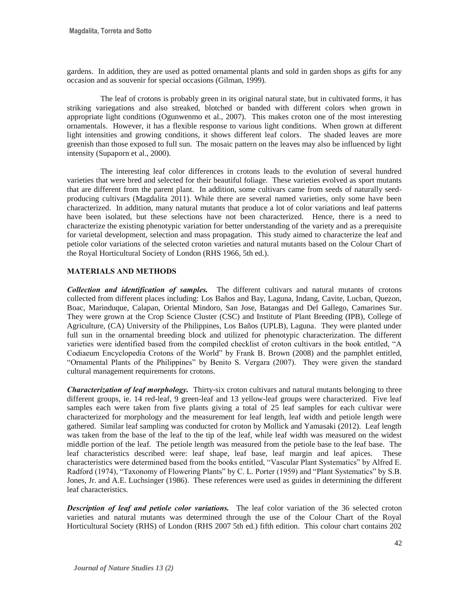gardens. In addition, they are used as potted ornamental plants and sold in garden shops as gifts for any occasion and as souvenir for special occasions (Gilman, 1999).

The leaf of crotons is probably green in its original natural state, but in cultivated forms, it has striking variegations and also streaked, blotched or banded with different colors when grown in appropriate light conditions (Ogunwenmo et al., 2007). This makes croton one of the most interesting ornamentals. However, it has a flexible response to various light conditions. When grown at different light intensities and growing conditions, it shows different leaf colors. The shaded leaves are more greenish than those exposed to full sun. The mosaic pattern on the leaves may also be influenced by light intensity (Supaporn et al., 2000).

The interesting leaf color differences in crotons leads to the evolution of several hundred varieties that were bred and selected for their beautiful foliage. These varieties evolved as sport mutants that are different from the parent plant. In addition, some cultivars came from seeds of naturally seedproducing cultivars (Magdalita 2011). While there are several named varieties, only some have been characterized. In addition, many natural mutants that produce a lot of color variations and leaf patterns have been isolated, but these selections have not been characterized. Hence, there is a need to characterize the existing phenotypic variation for better understanding of the variety and as a prerequisite for varietal development, selection and mass propagation. This study aimed to characterize the leaf and petiole color variations of the selected croton varieties and natural mutants based on the Colour Chart of the Royal Horticultural Society of London (RHS 1966, 5th ed.).

# **MATERIALS AND METHODS**

*Collection and identification of samples.* The different cultivars and natural mutants of crotons collected from different places including: Los Baños and Bay, Laguna, Indang, Cavite, Lucban, Quezon, Boac, Marinduque, Calapan, Oriental Mindoro, San Jose, Batangas and Del Gallego, Camarines Sur. They were grown at the Crop Science Cluster (CSC) and Institute of Plant Breeding (IPB), College of Agriculture, (CA) University of the Philippines, Los Baños (UPLB), Laguna. They were planted under full sun in the ornamental breeding block and utilized for phenotypic characterization. The different varieties were identified based from the compiled checklist of croton cultivars in the book entitled, "A Codiaeum Encyclopedia Crotons of the World" by Frank B. Brown (2008) and the pamphlet entitled, "Ornamental Plants of the Philippines" by Benito S. Vergara (2007). They were given the standard cultural management requirements for crotons.

*Characterization of leaf morphology.* Thirty-six croton cultivars and natural mutants belonging to three different groups, ie. 14 red-leaf, 9 green-leaf and 13 yellow-leaf groups were characterized. Five leaf samples each were taken from five plants giving a total of 25 leaf samples for each cultivar were characterized for morphology and the measurement for leaf length, leaf width and petiole length were gathered. Similar leaf sampling was conducted for croton by Mollick and Yamasaki (2012). Leaf length was taken from the base of the leaf to the tip of the leaf, while leaf width was measured on the widest middle portion of the leaf. The petiole length was measured from the petiole base to the leaf base. The leaf characteristics described were: leaf shape, leaf base, leaf margin and leaf apices. These characteristics were determined based from the books entitled, "Vascular Plant Systematics" by Alfred E. Radford (1974), "Taxonomy of Flowering Plants" by C. L. Porter (1959) and "Plant Systematics" by S.B. Jones, Jr. and A.E. Luchsinger (1986). These references were used as guides in determining the different leaf characteristics.

*Description of leaf and petiole color variations.* The leaf color variation of the 36 selected croton varieties and natural mutants was determined through the use of the Colour Chart of the Royal Horticultural Society (RHS) of London (RHS 2007 5th ed.) fifth edition. This colour chart contains 202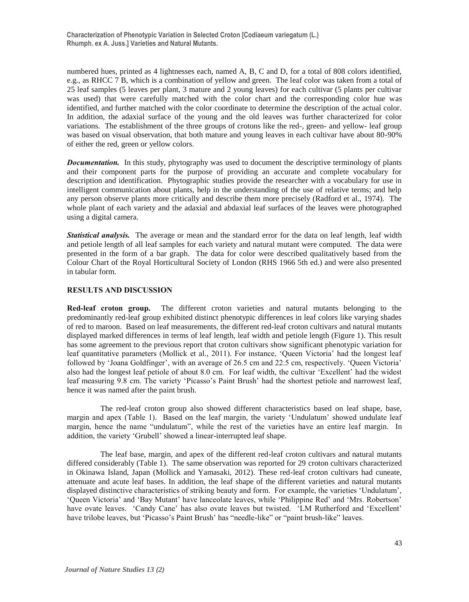**Characterization of Phenotypic Variation in Selected Croton [Codiaeum variegatum (L.) Rhumph. ex A. Juss.] Varieties and Natural Mutants.**

numbered hues, printed as 4 lightnesses each, named A, B, C and D, for a total of 808 colors identified, e.g., as RHCC 7 B, which is a combination of yellow and green. The leaf color was taken from a total of 25 leaf samples (5 leaves per plant, 3 mature and 2 young leaves) for each cultivar (5 plants per cultivar was used) that were carefully matched with the color chart and the corresponding color hue was identified, and further matched with the color coordinate to determine the description of the actual color. In addition, the adaxial surface of the young and the old leaves was further characterized for color variations. The establishment of the three groups of crotons like the red-, green- and yellow- leaf group was based on visual observation, that both mature and young leaves in each cultivar have about 80-90% of either the red, green or yellow colors.

*Documentation.* In this study, phytography was used to document the descriptive terminology of plants and their component parts for the purpose of providing an accurate and complete vocabulary for description and identification. Phytographic studies provide the researcher with a vocabulary for use in intelligent communication about plants, help in the understanding of the use of relative terms; and help any person observe plants more critically and describe them more precisely (Radford et al., 1974). The whole plant of each variety and the adaxial and abdaxial leaf surfaces of the leaves were photographed using a digital camera.

*Statistical analysis.* The average or mean and the standard error for the data on leaf length, leaf width and petiole length of all leaf samples for each variety and natural mutant were computed. The data were presented in the form of a bar graph. The data for color were described qualitatively based from the Colour Chart of the Royal Horticultural Society of London (RHS 1966 5th ed.) and were also presented in tabular form.

# **RESULTS AND DISCUSSION**

**Red-leaf croton group.** The different croton varieties and natural mutants belonging to the predominantly red-leaf group exhibited distinct phenotypic differences in leaf colors like varying shades of red to maroon. Based on leaf measurements, the different red-leaf croton cultivars and natural mutants displayed marked differences in terms of leaf length, leaf width and petiole length (Figure 1). This result has some agreement to the previous report that croton cultivars show significant phenotypic variation for leaf quantitative parameters (Mollick et al., 2011). For instance, 'Queen Victoria' had the longest leaf followed by 'Joana Goldfinger', with an average of 26.5 cm and 22.5 cm, respectively. 'Queen Victoria' also had the longest leaf petiole of about 8.0 cm. For leaf width, the cultivar 'Excellent' had the widest leaf measuring 9.8 cm. The variety 'Picasso's Paint Brush' had the shortest petiole and narrowest leaf, hence it was named after the paint brush.

The red-leaf croton group also showed different characteristics based on leaf shape, base, margin and apex (Table 1). Based on the leaf margin, the variety 'Undulatum' showed undulate leaf margin, hence the name "undulatum", while the rest of the varieties have an entire leaf margin. In addition, the variety 'Grubell' showed a linear-interrupted leaf shape.

The leaf base, margin, and apex of the different red-leaf croton cultivars and natural mutants differed considerably (Table 1). The same observation was reported for 29 croton cultivars characterized in Okinawa Island, Japan (Mollick and Yamasaki, 2012). These red-leaf croton cultivars had cuneate, attenuate and acute leaf bases. In addition, the leaf shape of the different varieties and natural mutants displayed distinctive characteristics of striking beauty and form. For example, the varieties 'Undulatum', 'Queen Victoria' and 'Bay Mutant' have lanceolate leaves, while 'Philippine Red' and 'Mrs. Robertson' have ovate leaves. 'Candy Cane' has also ovate leaves but twisted. 'LM Rutherford and 'Excellent' have trilobe leaves, but 'Picasso's Paint Brush' has "needle-like" or "paint brush-like" leaves.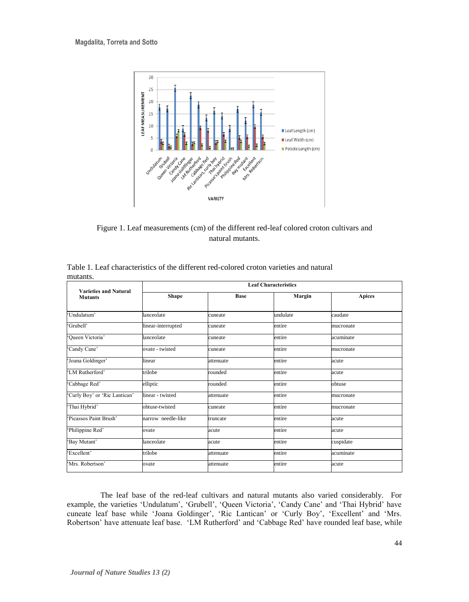

Figure 1. Leaf measurements (cm) of the different red-leaf colored croton cultivars and natural mutants.

| <b>Varieties and Natural</b>  | <b>Leaf Characteristics</b> |             |          |               |  |  |
|-------------------------------|-----------------------------|-------------|----------|---------------|--|--|
| <b>Mutants</b>                | Shape                       | <b>Base</b> | Margin   | <b>Apices</b> |  |  |
|                               |                             |             |          |               |  |  |
| 'Undulatum'                   | lanceolate                  | cuneate     | undulate | caudate       |  |  |
| 'Grubell'                     | linear-interrupted          | cuneate     | entire   | mucronate     |  |  |
| 'Queen Victoria'              | lanceolate                  | cuneate     | entire   | acuminate     |  |  |
| 'Candy Cane'                  | ovate - twisted             | cuneate     | entire   | mucronate     |  |  |
| 'Joana Goldinger'             | linear                      | attenuate   | entire   | acute         |  |  |
| 'LM Rutherford'               | trilobe                     | rounded     | entire   | acute         |  |  |
| 'Cabbage Red'                 | elliptic                    | rounded     | entire   | obtuse        |  |  |
| 'Curly Boy' or 'Ric Lantican' | linear - twisted            | attenuate   | entire   | mucronate     |  |  |
| 'Thai Hybrid'                 | obtuse-twisted              | cuneate     | entire   | mucronate     |  |  |
| Picassos Paint Brush'         | narrow needle-like          | truncate    | entire   | acute         |  |  |
| 'Philippine Red'              | ovate                       | acute       | entire   | acute         |  |  |
| 'Bay Mutant'                  | lanceolate                  | acute       | entire   | cuspidate     |  |  |
| 'Excellent'                   | trilobe                     | attenuate   | entire   | acuminate     |  |  |
| 'Mrs. Robertson'              | ovate                       | attenuate   | entire   | acute         |  |  |

Table 1. Leaf characteristics of the different red-colored croton varieties and natural mutants.

The leaf base of the red-leaf cultivars and natural mutants also varied considerably. For example, the varieties 'Undulatum', 'Grubell', 'Queen Victoria', 'Candy Cane' and 'Thai Hybrid' have cuneate leaf base while 'Joana Goldinger', 'Ric Lantican' or 'Curly Boy', 'Excellent' and 'Mrs. Robertson' have attenuate leaf base. 'LM Rutherford' and 'Cabbage Red' have rounded leaf base, while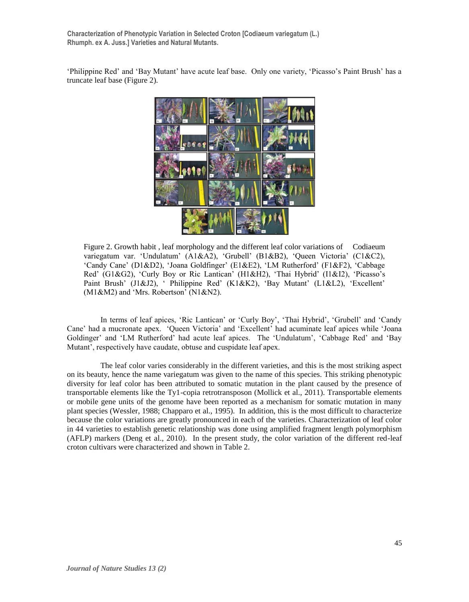**Characterization of Phenotypic Variation in Selected Croton [Codiaeum variegatum (L.) Rhumph. ex A. Juss.] Varieties and Natural Mutants.**

'Philippine Red' and 'Bay Mutant' have acute leaf base. Only one variety, 'Picasso's Paint Brush' has a truncate leaf base (Figure 2).



Figure 2. Growth habit , leaf morphology and the different leaf color variations of Codiaeum variegatum var. 'Undulatum' (A1&A2), 'Grubell' (B1&B2), 'Queen Victoria' (C1&C2), 'Candy Cane' (D1&D2), 'Joana Goldfinger' (E1&E2), 'LM Rutherford' (F1&F2), 'Cabbage Red' (G1&G2), 'Curly Boy or Ric Lantican' (H1&H2), 'Thai Hybrid' (I1&I2), 'Picasso's Paint Brush' (J1&J2), ' Philippine Red' (K1&K2), 'Bay Mutant' (L1&L2), 'Excellent' (M1&M2) and 'Mrs. Robertson' (N1&N2).

In terms of leaf apices, 'Ric Lantican' or 'Curly Boy', 'Thai Hybrid', 'Grubell' and 'Candy Cane' had a mucronate apex. 'Queen Victoria' and 'Excellent' had acuminate leaf apices while 'Joana Goldinger' and 'LM Rutherford' had acute leaf apices. The 'Undulatum', 'Cabbage Red' and 'Bay Mutant', respectively have caudate, obtuse and cuspidate leaf apex.

The leaf color varies considerably in the different varieties, and this is the most striking aspect on its beauty, hence the name variegatum was given to the name of this species. This striking phenotypic diversity for leaf color has been attributed to somatic mutation in the plant caused by the presence of transportable elements like the Ty1-copia retrotransposon (Mollick et al., 2011). Transportable elements or mobile gene units of the genome have been reported as a mechanism for somatic mutation in many plant species (Wessler, 1988; Chapparo et al., 1995). In addition, this is the most difficult to characterize because the color variations are greatly pronounced in each of the varieties. Characterization of leaf color in 44 varieties to establish genetic relationship was done using amplified fragment length polymorphism (AFLP) markers (Deng et al., 2010). In the present study, the color variation of the different red-leaf croton cultivars were characterized and shown in Table 2.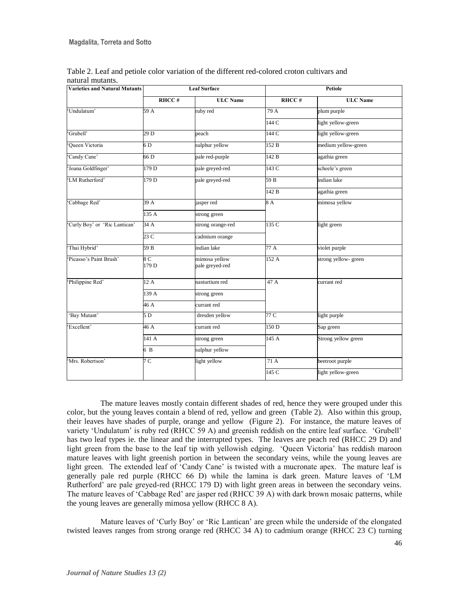| <b>Varieties and Natural Mutants</b> | <b>Leaf Surface</b> |                                  |       | Petiole             |  |  |
|--------------------------------------|---------------------|----------------------------------|-------|---------------------|--|--|
|                                      | RHCC#               | <b>ULC</b> Name                  | RHCC# | <b>ULC</b> Name     |  |  |
| 'Undulatum'                          | 59 A                | ruby red                         | 79 A  | plum purple         |  |  |
|                                      |                     |                                  | 144 C | light yellow-green  |  |  |
| 'Grubell'                            | 29D                 | peach                            | 144 C | light yellow-green  |  |  |
| Queen Victoria                       | 6 D                 | sulphur yellow                   | 152B  | medium yellow-green |  |  |
| 'Candy Cane'                         | 66 D                | pale red-purple                  | 142B  | agathia green       |  |  |
| 'Joana Goldfinger'                   | 179 D               | pale greyed-red                  | 143C  | scheele's green     |  |  |
| 'LM Rutherford'                      | 179 D               | pale greyed-red                  | 59 B  | indian lake         |  |  |
|                                      |                     |                                  | 142 B | agathia green       |  |  |
| 'Cabbage Red'                        | 39 A                | jasper red                       | 8 A   | mimosa yellow       |  |  |
|                                      | 135 A               | strong green                     |       |                     |  |  |
| 'Curly Boy' or 'Ric Lantican'        | 34 A                | strong orange-red                | 135 C | light green         |  |  |
|                                      | 23C                 | cadmium orange                   |       |                     |  |  |
| 'Thai Hybrid'                        | 59 B                | indian lake                      | 77 A  | violet purple       |  |  |
| Picasso's Paint Brush'               | 8 C<br>179 D        | mimosa yellow<br>pale greyed-red | 152A  | strong yellow-green |  |  |
| Philippine Red'                      | 12A                 | nasturtium red                   | 47 A  | currant red         |  |  |
|                                      | 139 A               | strong green                     |       |                     |  |  |
|                                      | 46A                 | currant red                      |       |                     |  |  |
| 'Bay Mutant'                         | 5 <sub>D</sub>      | dresden yellow                   | 77 C  | light purple        |  |  |
| 'Excellent'                          | 46 A                | currant red                      | 150D  | Sap green           |  |  |
|                                      | 141 A               | strong green                     | 145 A | Strong yellow green |  |  |
|                                      | 6B                  | sulphur yellow                   |       |                     |  |  |
| 'Mrs. Robertson'                     | 7 C                 | light yellow                     | 71A   | beetroot purple     |  |  |
|                                      |                     |                                  | 145 C | light yellow-green  |  |  |

Table 2. Leaf and petiole color variation of the different red-colored croton cultivars and natural mutants.

The mature leaves mostly contain different shades of red, hence they were grouped under this color, but the young leaves contain a blend of red, yellow and green (Table 2). Also within this group, their leaves have shades of purple, orange and yellow (Figure 2). For instance, the mature leaves of variety 'Undulatum' is ruby red (RHCC 59 A) and greenish reddish on the entire leaf surface. 'Grubell' has two leaf types ie. the linear and the interrupted types. The leaves are peach red (RHCC 29 D) and light green from the base to the leaf tip with yellowish edging. 'Queen Victoria' has reddish maroon mature leaves with light greenish portion in between the secondary veins, while the young leaves are light green. The extended leaf of 'Candy Cane' is twisted with a mucronate apex. The mature leaf is generally pale red purple (RHCC 66 D) while the lamina is dark green. Mature leaves of 'LM Rutherford' are pale greyed-red (RHCC 179 D) with light green areas in between the secondary veins. The mature leaves of 'Cabbage Red' are jasper red (RHCC 39 A) with dark brown mosaic patterns, while the young leaves are generally mimosa yellow (RHCC 8 A).

Mature leaves of 'Curly Boy' or 'Ric Lantican' are green while the underside of the elongated twisted leaves ranges from strong orange red (RHCC 34 A) to cadmium orange (RHCC 23 C) turning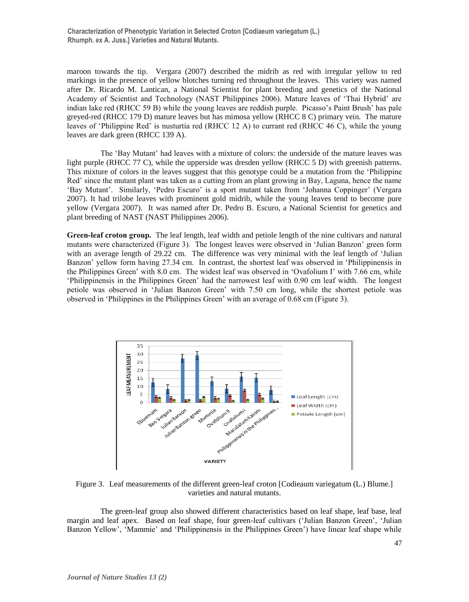maroon towards the tip. Vergara (2007) described the midrib as red with irregular yellow to red markings in the presence of yellow blotches turning red throughout the leaves. This variety was named after Dr. Ricardo M. Lantican, a National Scientist for plant breeding and genetics of the National Academy of Scientist and Technology (NAST Philippines 2006). Mature leaves of 'Thai Hybrid' are indian lake red (RHCC 59 B) while the young leaves are reddish purple. Picasso's Paint Brush' has pale greyed-red (RHCC 179 D) mature leaves but has mimosa yellow (RHCC 8 C) primary vein. The mature leaves of 'Philippine Red' is nusturtia red (RHCC 12 A) to currant red (RHCC 46 C), while the young leaves are dark green (RHCC 139 A).

The 'Bay Mutant' had leaves with a mixture of colors: the underside of the mature leaves was light purple (RHCC 77 C), while the upperside was dresden yellow (RHCC 5 D) with greenish patterns. This mixture of colors in the leaves suggest that this genotype could be a mutation from the 'Philippine Red' since the mutant plant was taken as a cutting from an plant growing in Bay, Laguna, hence the name 'Bay Mutant'. Similarly, 'Pedro Escuro' is a sport mutant taken from 'Johanna Coppinger' (Vergara 2007). It had trilobe leaves with prominent gold midrib, while the young leaves tend to become pure yellow (Vergara 2007). It was named after Dr. Pedro B. Escuro, a National Scientist for genetics and plant breeding of NAST (NAST Philippines 2006).

**Green-leaf croton group.** The leaf length, leaf width and petiole length of the nine cultivars and natural mutants were characterized (Figure 3). The longest leaves were observed in 'Julian Banzon' green form with an average length of 29.22 cm. The difference was very minimal with the leaf length of 'Julian Banzon' yellow form having 27.34 cm. In contrast, the shortest leaf was observed in 'Philippinensis in the Philippines Green' with 8.0 cm. The widest leaf was observed in 'Ovafolium I' with 7.66 cm, while 'Philippinensis in the Philippines Green' had the narrowest leaf with 0.90 cm leaf width. The longest petiole was observed in 'Julian Banzon Green' with 7.50 cm long, while the shortest petiole was observed in 'Philippines in the Philippines Green' with an average of 0.68 cm (Figure 3).



Figure 3. Leaf measurements of the different green-leaf croton [Codieaum variegatum (L.) Blume.] varieties and natural mutants.

The green-leaf group also showed different characteristics based on leaf shape, leaf base, leaf margin and leaf apex. Based on leaf shape, four green-leaf cultivars ('Julian Banzon Green', 'Julian Banzon Yellow', 'Mammie' and 'Philippinensis in the Philippines Green') have linear leaf shape while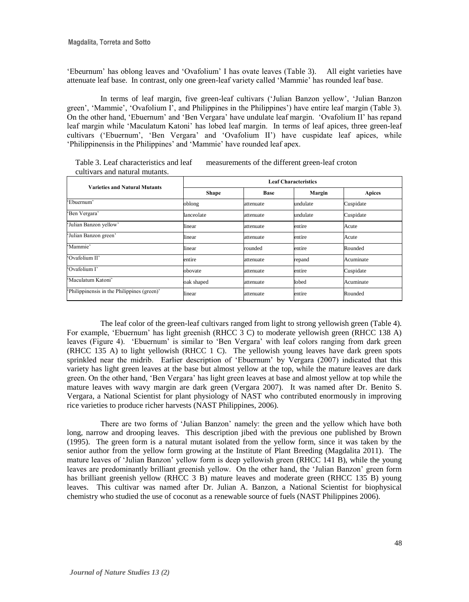'Ebeurnum' has oblong leaves and 'Ovafolium' I has ovate leaves (Table 3). All eight varieties have attenuate leaf base. In contrast, only one green-leaf variety called 'Mammie' has rounded leaf base.

In terms of leaf margin, five green-leaf cultivars ('Julian Banzon yellow', 'Julian Banzon green', 'Mammie', 'Ovafolium I', and Philippines in the Philippines') have entire leaf margin (Table 3). On the other hand, 'Ebuernum' and 'Ben Vergara' have undulate leaf margin. 'Ovafolium II' has repand leaf margin while 'Maculatum Katoni' has lobed leaf margin. In terms of leaf apices, three green-leaf cultivars ('Ebuernum', 'Ben Vergara' and 'Ovafolium II') have cuspidate leaf apices, while 'Philippinensis in the Philippines' and 'Mammie' have rounded leaf apex.

| <b>Varieties and Natural Mutants</b>        | <b>Leaf Characteristics</b> |             |          |               |  |
|---------------------------------------------|-----------------------------|-------------|----------|---------------|--|
|                                             | <b>Shape</b>                | <b>Base</b> | Margin   | <b>Apices</b> |  |
| 'Ebuernum'                                  | oblong                      | attenuate   | undulate | Cuspidate     |  |
| 'Ben Vergara'                               | lanceolate                  | attenuate   | undulate | Cuspidate     |  |
| 'Julian Banzon yellow'                      | linear                      | attenuate   | entire   | Acute         |  |
| 'Julian Banzon green'                       | linear                      | attenuate   | entire   | Acute         |  |
| 'Mammie'                                    | linear                      | rounded     | entire   | Rounded       |  |
| 'Ovafolium II'                              | entire                      | attenuate   | repand   | Acuminate     |  |
| 'Ovafolium I'                               | obovate                     | attenuate   | entire   | Cuspidate     |  |
| 'Maculatum Katoni'                          | oak shaped                  | attenuate   | lobed    | Acuminate     |  |
| 'Philippinensis in the Philippines (green)' | linear                      | attenuate   | entire   | Rounded       |  |

Table 3. Leaf characteristics and leaf measurements of the different green-leaf croton cultivars and natural mutants.

The leaf color of the green-leaf cultivars ranged from light to strong yellowish green (Table 4). For example, 'Ebuernum' has light greenish (RHCC 3 C) to moderate yellowish green (RHCC 138 A) leaves (Figure 4). 'Ebuernum' is similar to 'Ben Vergara' with leaf colors ranging from dark green (RHCC 135 A) to light yellowish (RHCC 1 C). The yellowish young leaves have dark green spots sprinkled near the midrib. Earlier description of 'Ebuernum' by Vergara (2007) indicated that this variety has light green leaves at the base but almost yellow at the top, while the mature leaves are dark green. On the other hand, 'Ben Vergara' has light green leaves at base and almost yellow at top while the mature leaves with wavy margin are dark green (Vergara 2007). It was named after Dr. Benito S. Vergara, a National Scientist for plant physiology of NAST who contributed enormously in improving rice varieties to produce richer harvests (NAST Philippines, 2006).

There are two forms of 'Julian Banzon' namely: the green and the yellow which have both long, narrow and drooping leaves. This description jibed with the previous one published by Brown (1995). The green form is a natural mutant isolated from the yellow form, since it was taken by the senior author from the yellow form growing at the Institute of Plant Breeding (Magdalita 2011). The mature leaves of 'Julian Banzon' yellow form is deep yellowish green (RHCC 141 B), while the young leaves are predominantly brilliant greenish yellow. On the other hand, the 'Julian Banzon' green form has brilliant greenish yellow (RHCC 3 B) mature leaves and moderate green (RHCC 135 B) young leaves. This cultivar was named after Dr. Julian A. Banzon, a National Scientist for biophysical chemistry who studied the use of coconut as a renewable source of fuels (NAST Philippines 2006).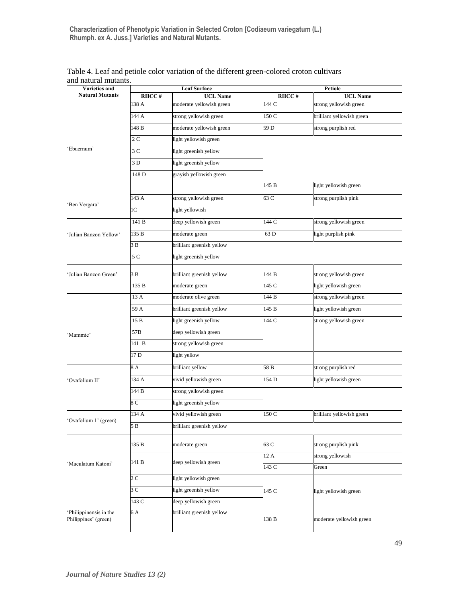**Characterization of Phenotypic Variation in Selected Croton [Codiaeum variegatum (L.) Rhumph. ex A. Juss.] Varieties and Natural Mutants.**

| Varieties and          | <b>Leaf Surface</b> |                           |                 | Petiole                   |  |  |
|------------------------|---------------------|---------------------------|-----------------|---------------------------|--|--|
| <b>Natural Mutants</b> | RHCC#               | <b>UCL Name</b>           | RHCC#           | <b>UCL Name</b>           |  |  |
|                        | 138 A               | moderate yellowish green  | 144 C           | strong yellowish green    |  |  |
|                        | 144 A               | strong yellowish green    | 150 C           | brilliant yellowish green |  |  |
|                        | 148 B               | moderate yellowish green  | 59 <sub>D</sub> | strong purplish red       |  |  |
|                        | 2C                  | light yellowish green     |                 |                           |  |  |
| Ebuernum'              | 3C                  | light greenish yellow     |                 |                           |  |  |
|                        | 3D                  | light greenish yellow     |                 |                           |  |  |
|                        | 148 D               | grayish yellowish green   |                 |                           |  |  |
|                        |                     |                           | 145 B           | light yellowish green     |  |  |
|                        | 143 A               | strong yellowish green    | 63 C            | strong purplish pink      |  |  |
| 'Ben Vergara'          | 1 <sup>C</sup>      | light yellowish           |                 |                           |  |  |
|                        | 141 B               | deep yellowish green      | 144 C           | strong yellowish green    |  |  |
| Julian Banzon Yellow'  | 135 B               | moderate green            | 63 D            | light purplish pink       |  |  |
|                        | 3B                  | brilliant greenish yellow |                 |                           |  |  |
|                        | 5 C                 | light greenish yellow     |                 |                           |  |  |
| 'Julian Banzon Green'  | 3B                  | brilliant greenish yellow | 144 B           | strong yellowish green    |  |  |
|                        | 135 B               | moderate green            | 145 C           | light yellowish green     |  |  |
|                        | 13 A                | moderate olive green      | 144 B           | strong yellowish green    |  |  |
|                        | 59 A                | brilliant greenish yellow | 145 B           | light yellowish green     |  |  |
| 'Mammie'               | 15B                 | light greenish yellow     | 144 C           | strong yellowish green    |  |  |
|                        | 57B                 | deep yellowish green      |                 |                           |  |  |
|                        | 141 B               | strong yellowish green    |                 |                           |  |  |
|                        | 17 <sub>D</sub>     | light yellow              |                 |                           |  |  |
|                        | 8 A                 | brilliant yellow          | 58 B            | strong purplish red       |  |  |
| 'Ovafolium II'         | 134 A               | vivid yellowish green     | 154 D           | light yellowish green     |  |  |
|                        | 144 B               | strong yellowish green    |                 |                           |  |  |
|                        | 8 C                 | light greenish yellow     |                 |                           |  |  |
|                        | 134 A               | vivid yellowish green     | 150 C           | brilliant yellowish green |  |  |
| Ovafolium 1' (green)   | 5B                  | brilliant greenish yellow |                 |                           |  |  |
|                        | 135 B               | moderate green            | 63 C            | strong purplish pink      |  |  |
| 'Maculatum Katoni'     |                     |                           | 12 A            | strong yellowish          |  |  |
|                        | 141 B               | deep yellowish green      | 143 C           | Green                     |  |  |
|                        | 2 C                 | light yellowish green     |                 |                           |  |  |
|                        | 3 C                 | light greenish yellow     | 145 C           |                           |  |  |
|                        | 143 C               | deep yellowish green      |                 | light yellowish green     |  |  |
| 'Philippinensis in the | 6 A                 | brilliant greenish yellow |                 |                           |  |  |
| Philippines' (green)   |                     |                           | 138 B           | moderate yellowish green  |  |  |

Table 4. Leaf and petiole color variation of the different green-colored croton cultivars and natural mutants.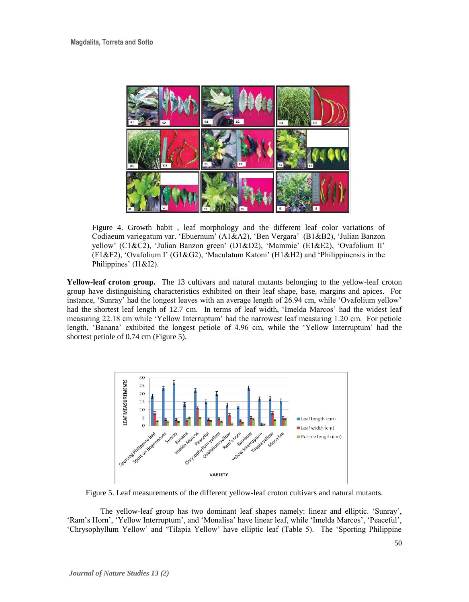

Figure 4. Growth habit , leaf morphology and the different leaf color variations of Codiaeum variegatum var. 'Ebuernum' (A1&A2), 'Ben Vergara' (B1&B2), 'Julian Banzon yellow' (C1&C2), 'Julian Banzon green' (D1&D2), 'Mammie' (E1&E2), 'Ovafolium II' (F1&F2), 'Ovafolium I' (G1&G2), 'Maculatum Katoni' (H1&H2) and 'Philippinensis in the Philippines' (I1&I2).

**Yellow-leaf croton group.** The 13 cultivars and natural mutants belonging to the yellow-leaf croton group have distinguishing characteristics exhibited on their leaf shape, base, margins and apices. For instance, 'Sunray' had the longest leaves with an average length of 26.94 cm, while 'Ovafolium yellow' had the shortest leaf length of 12.7 cm. In terms of leaf width, 'Imelda Marcos' had the widest leaf measuring 22.18 cm while 'Yellow Interruptum' had the narrowest leaf measuring 1.20 cm. For petiole length, 'Banana' exhibited the longest petiole of 4.96 cm, while the 'Yellow Interruptum' had the shortest petiole of 0.74 cm (Figure 5).



Figure 5. Leaf measurements of the different yellow-leaf croton cultivars and natural mutants.

The yellow-leaf group has two dominant leaf shapes namely: linear and elliptic. 'Sunray', 'Ram's Horn', 'Yellow Interruptum', and 'Monalisa' have linear leaf, while 'Imelda Marcos', 'Peaceful', 'Chrysophyllum Yellow' and 'Tilapia Yellow' have elliptic leaf (Table 5). The 'Sporting Philippine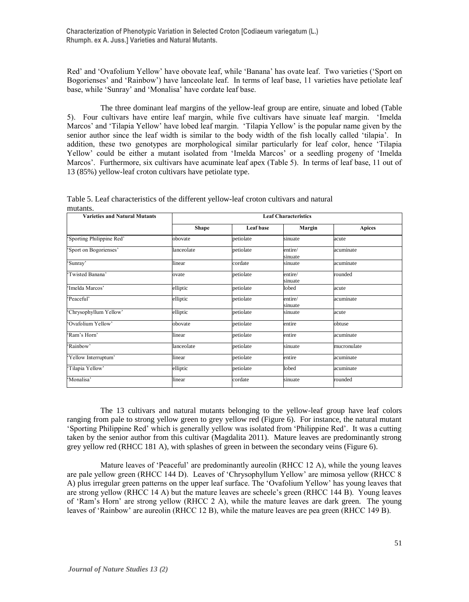Red' and 'Ovafolium Yellow' have obovate leaf, while 'Banana' has ovate leaf. Two varieties ('Sport on Bogorienses' and 'Rainbow') have lanceolate leaf. In terms of leaf base, 11 varieties have petiolate leaf base, while 'Sunray' and 'Monalisa' have cordate leaf base.

The three dominant leaf margins of the yellow-leaf group are entire, sinuate and lobed (Table 5). Four cultivars have entire leaf margin, while five cultivars have sinuate leaf margin. 'Imelda Marcos' and 'Tilapia Yellow' have lobed leaf margin. 'Tilapia Yellow' is the popular name given by the senior author since the leaf width is similar to the body width of the fish locally called 'tilapia'. In addition, these two genotypes are morphological similar particularly for leaf color, hence 'Tilapia Yellow' could be either a mutant isolated from 'Imelda Marcos' or a seedling progeny of 'Imelda Marcos'. Furthermore, six cultivars have acuminate leaf apex (Table 5). In terms of leaf base, 11 out of 13 (85%) yellow-leaf croton cultivars have petiolate type.

| <b>Varieties and Natural Mutants</b> | <b>Leaf Characteristics</b> |           |                    |               |
|--------------------------------------|-----------------------------|-----------|--------------------|---------------|
|                                      | <b>Shape</b>                | Leaf base | Margin             | <b>Apices</b> |
| 'Sporting Philippine Red'            | obovate                     | petiolate | sinuate            | acute         |
| 'Sport on Bogorienses'               | lanceolate                  | petiolate | entire/<br>sinuate | acuminate     |
| 'Sunray'                             | linear                      | cordate   | sinuate            | acuminate     |
| 'Twisted Banana'                     | ovate                       | petiolate | entire/<br>sinuate | rounded       |
| 'Imelda Marcos'                      | elliptic                    | petiolate | lobed              | acute         |
| 'Peaceful'                           | elliptic                    | petiolate | entire/<br>sinuate | acuminate     |
| 'Chrysophyllum Yellow'               | elliptic                    | petiolate | sinuate            | acute         |
| 'Ovafolium Yellow'                   | obovate                     | petiolate | entire             | obtuse        |
| 'Ram's Horn'                         | linear                      | petiolate | entire             | acuminate     |
| Rainbow'                             | lanceolate                  | petiolate | sinuate            | mucronulate   |
| 'Yellow Interruptum'                 | linear                      | petiolate | entire             | acuminate     |
| 'Tilapia Yellow'                     | elliptic                    | petiolate | lobed              | acuminate     |
| 'Monalisa'                           | linear                      | cordate   | sinuate            | rounded       |

Table 5. Leaf characteristics of the different yellow-leaf croton cultivars and natural mutants.

The 13 cultivars and natural mutants belonging to the yellow-leaf group have leaf colors ranging from pale to strong yellow green to grey yellow red (Figure 6). For instance, the natural mutant 'Sporting Philippine Red' which is generally yellow was isolated from 'Philippine Red'. It was a cutting taken by the senior author from this cultivar (Magdalita 2011). Mature leaves are predominantly strong grey yellow red (RHCC 181 A), with splashes of green in between the secondary veins (Figure 6).

Mature leaves of 'Peaceful' are predominantly aureolin (RHCC 12 A), while the young leaves are pale yellow green (RHCC 144 D). Leaves of 'Chrysophyllum Yellow' are mimosa yellow (RHCC 8 A) plus irregular green patterns on the upper leaf surface. The 'Ovafolium Yellow' has young leaves that are strong yellow (RHCC 14 A) but the mature leaves are scheele's green (RHCC 144 B). Young leaves of 'Ram's Horn' are strong yellow (RHCC 2 A), while the mature leaves are dark green. The young leaves of 'Rainbow' are aureolin (RHCC 12 B), while the mature leaves are pea green (RHCC 149 B).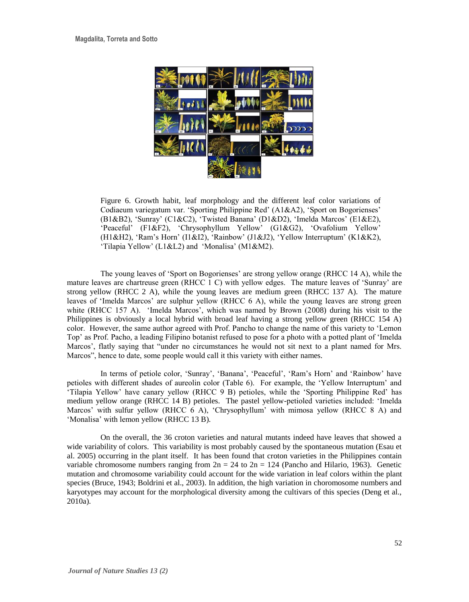

Figure 6. Growth habit, leaf morphology and the different leaf color variations of Codiaeum variegatum var. 'Sporting Philippine Red' (A1&A2), 'Sport on Bogorienses' (B1&B2), 'Sunray' (C1&C2), 'Twisted Banana' (D1&D2), 'Imelda Marcos' (E1&E2), 'Peaceful' (F1&F2), 'Chrysophyllum Yellow' (G1&G2), 'Ovafolium Yellow' (H1&H2), 'Ram's Horn' (I1&I2), 'Rainbow' (J1&J2), 'Yellow Interruptum' (K1&K2), 'Tilapia Yellow' (L1&L2) and 'Monalisa' (M1&M2).

The young leaves of 'Sport on Bogorienses' are strong yellow orange (RHCC 14 A), while the mature leaves are chartreuse green (RHCC 1 C) with yellow edges. The mature leaves of 'Sunray' are strong yellow (RHCC 2 A), while the young leaves are medium green (RHCC 137 A). The mature leaves of 'Imelda Marcos' are sulphur yellow (RHCC 6 A), while the young leaves are strong green white (RHCC 157 A). 'Imelda Marcos', which was named by Brown (2008) during his visit to the Philippines is obviously a local hybrid with broad leaf having a strong yellow green (RHCC 154 A) color. However, the same author agreed with Prof. Pancho to change the name of this variety to 'Lemon Top' as Prof. Pacho, a leading Filipino botanist refused to pose for a photo with a potted plant of 'Imelda Marcos', flatly saying that "under no circumstances he would not sit next to a plant named for Mrs. Marcos", hence to date, some people would call it this variety with either names.

In terms of petiole color, 'Sunray', 'Banana', 'Peaceful', 'Ram's Horn' and 'Rainbow' have petioles with different shades of aureolin color (Table 6). For example, the 'Yellow Interruptum' and 'Tilapia Yellow' have canary yellow (RHCC 9 B) petioles, while the 'Sporting Philippine Red' has medium yellow orange (RHCC 14 B) petioles. The pastel yellow-petioled varieties included: 'Imelda Marcos' with sulfur yellow (RHCC 6 A), 'Chrysophyllum' with mimosa yellow (RHCC 8 A) and 'Monalisa' with lemon yellow (RHCC 13 B).

On the overall, the 36 croton varieties and natural mutants indeed have leaves that showed a wide variability of colors. This variability is most probably caused by the spontaneous mutation (Esau et al. 2005) occurring in the plant itself. It has been found that croton varieties in the Philippines contain variable chromosome numbers ranging from  $2n = 24$  to  $2n = 124$  (Pancho and Hilario, 1963). Genetic mutation and chromosome variability could account for the wide variation in leaf colors within the plant species (Bruce, 1943; Boldrini et al., 2003). In addition, the high variation in choromosome numbers and karyotypes may account for the morphological diversity among the cultivars of this species (Deng et al., 2010a).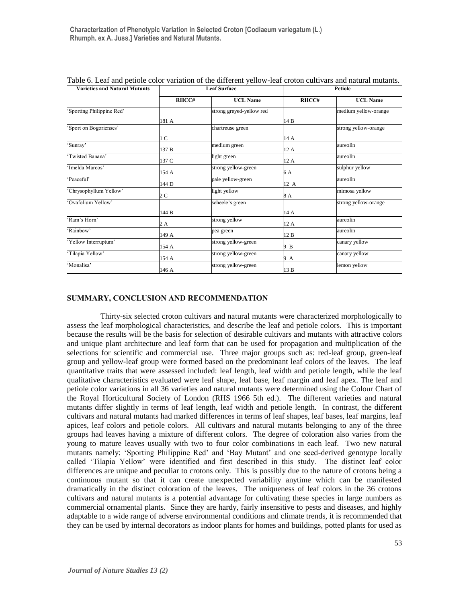| <b>Varieties and Natural Mutants</b> |                | <b>Leaf Surface</b>      |       | Petiole              |  |
|--------------------------------------|----------------|--------------------------|-------|----------------------|--|
|                                      | RHCC#          | <b>UCL Name</b>          | RHCC# | <b>UCL Name</b>      |  |
| Sporting Philippine Red'             |                | strong greyed-yellow red |       | medium yellow-orange |  |
|                                      | 181 A          |                          | 14 B  |                      |  |
| Sport on Bogorienses'                |                | chartreuse green         |       | strong yellow-orange |  |
|                                      | 1 <sup>C</sup> |                          | 14 A  |                      |  |
| 'Sunray'                             | 137 B          | medium green             | 12 A  | aureolin             |  |
| Twisted Banana'                      | 137 C          | light green              | 12 A  | aureolin             |  |
| Imelda Marcos'                       | 154 A          | strong yellow-green      | 6 A   | sulphur yellow       |  |
| Peaceful'                            | 144 D          | pale yellow-green        | 12 A  | aureolin             |  |
| 'Chrysophyllum Yellow'               | 2 C            | light yellow             | 8 A   | mimosa yellow        |  |
| Ovafolium Yellow'                    |                | scheele's green          |       | strong yellow-orange |  |
|                                      | 144 B          |                          | 14 A  |                      |  |
| Ram's Horn'                          | 2 A            | strong yellow            | 12 A  | aureolin             |  |
| Rainbow'                             | 149 A          | pea green                | 12 B  | aureolin             |  |
| Yellow Interruptum'                  | 154 A          | strong yellow-green      | 9 B   | canary yellow        |  |
| Tilapia Yellow'                      | 154 A          | strong yellow-green      | 9 A   | canary yellow        |  |
| Monalisa'                            | 146 A          | strong yellow-green      | 13 B  | lemon yellow         |  |

Table 6. Leaf and petiole color variation of the different yellow-leaf croton cultivars and natural mutants.

# **SUMMARY, CONCLUSION AND RECOMMENDATION**

Thirty-six selected croton cultivars and natural mutants were characterized morphologically to assess the leaf morphological characteristics, and describe the leaf and petiole colors. This is important because the results will be the basis for selection of desirable cultivars and mutants with attractive colors and unique plant architecture and leaf form that can be used for propagation and multiplication of the selections for scientific and commercial use. Three major groups such as: red-leaf group, green-leaf group and yellow-leaf group were formed based on the predominant leaf colors of the leaves. The leaf quantitative traits that were assessed included: leaf length, leaf width and petiole length, while the leaf qualitative characteristics evaluated were leaf shape, leaf base, leaf margin and leaf apex. The leaf and petiole color variations in all 36 varieties and natural mutants were determined using the Colour Chart of the Royal Horticultural Society of London (RHS 1966 5th ed.). The different varieties and natural mutants differ slightly in terms of leaf length, leaf width and petiole length. In contrast, the different cultivars and natural mutants had marked differences in terms of leaf shapes, leaf bases, leaf margins, leaf apices, leaf colors and petiole colors. All cultivars and natural mutants belonging to any of the three groups had leaves having a mixture of different colors. The degree of coloration also varies from the young to mature leaves usually with two to four color combinations in each leaf. Two new natural mutants namely: 'Sporting Philippine Red' and 'Bay Mutant' and one seed-derived genotype locally called 'Tilapia Yellow' were identified and first described in this study. The distinct leaf color differences are unique and peculiar to crotons only. This is possibly due to the nature of crotons being a continuous mutant so that it can create unexpected variability anytime which can be manifested dramatically in the distinct coloration of the leaves. The uniqueness of leaf colors in the 36 crotons cultivars and natural mutants is a potential advantage for cultivating these species in large numbers as commercial ornamental plants. Since they are hardy, fairly insensitive to pests and diseases, and highly adaptable to a wide range of adverse environmental conditions and climate trends, it is recommended that they can be used by internal decorators as indoor plants for homes and buildings, potted plants for used as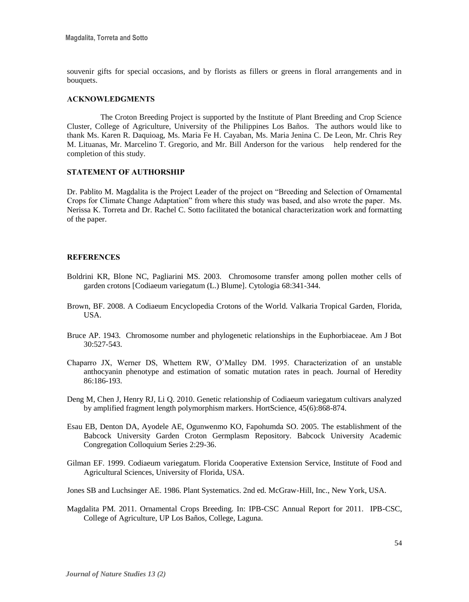souvenir gifts for special occasions, and by florists as fillers or greens in floral arrangements and in bouquets.

### **ACKNOWLEDGMENTS**

The Croton Breeding Project is supported by the Institute of Plant Breeding and Crop Science Cluster, College of Agriculture, University of the Philippines Los Baños. The authors would like to thank Ms. Karen R. Daquioag, Ms. Maria Fe H. Cayaban, Ms. Maria Jenina C. De Leon, Mr. Chris Rey M. Lituanas, Mr. Marcelino T. Gregorio, and Mr. Bill Anderson for the various help rendered for the completion of this study.

#### **STATEMENT OF AUTHORSHIP**

Dr. Pablito M. Magdalita is the Project Leader of the project on "Breeding and Selection of Ornamental Crops for Climate Change Adaptation" from where this study was based, and also wrote the paper. Ms. Nerissa K. Torreta and Dr. Rachel C. Sotto facilitated the botanical characterization work and formatting of the paper.

### **REFERENCES**

- Boldrini KR, Blone NC, Pagliarini MS. 2003. Chromosome transfer among pollen mother cells of garden crotons [Codiaeum variegatum (L.) Blume]. Cytologia 68:341-344.
- Brown, BF. 2008. A Codiaeum Encyclopedia Crotons of the World. Valkaria Tropical Garden, Florida, USA.
- Bruce AP. 1943. Chromosome number and phylogenetic relationships in the Euphorbiaceae. Am J Bot 30:527-543.
- Chaparro JX, Werner DS, Whettem RW, O'Malley DM. 1995. Characterization of an unstable anthocyanin phenotype and estimation of somatic mutation rates in peach. Journal of Heredity 86:186-193.
- Deng M, Chen J, Henry RJ, Li Q. 2010. Genetic relationship of Codiaeum variegatum cultivars analyzed by amplified fragment length polymorphism markers. HortScience, 45(6):868-874.
- Esau EB, Denton DA, Ayodele AE, Ogunwenmo KO, Fapohumda SO. 2005. The establishment of the Babcock University Garden Croton Germplasm Repository. Babcock University Academic Congregation Colloquium Series 2:29-36.
- Gilman EF. 1999. Codiaeum variegatum. Florida Cooperative Extension Service, Institute of Food and Agricultural Sciences, University of Florida, USA.

Jones SB and Luchsinger AE. 1986. Plant Systematics. 2nd ed. McGraw-Hill, Inc., New York, USA.

Magdalita PM. 2011. Ornamental Crops Breeding. In: IPB-CSC Annual Report for 2011. IPB-CSC, College of Agriculture, UP Los Baños, College, Laguna.